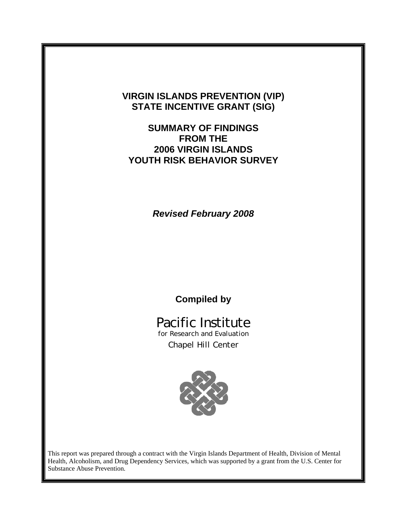## **VIRGIN ISLANDS PREVENTION (VIP) STATE INCENTIVE GRANT (SIG)**

## **SUMMARY OF FINDINGS FROM THE 2006 VIRGIN ISLANDS YOUTH RISK BEHAVIOR SURVEY**

*Revised February 2008*

## **Compiled by**

# Pacific Institute

for Research and Evaluation Chapel Hill Center



This report was prepared through a contract with the Virgin Islands Department of Health, Division of Mental Health, Alcoholism, and Drug Dependency Services, which was supported by a grant from the U.S. Center for Substance Abuse Prevention.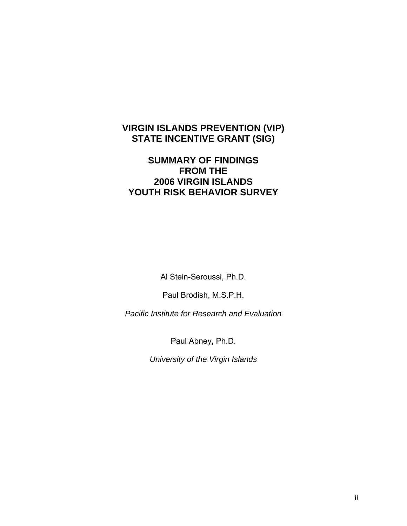## **VIRGIN ISLANDS PREVENTION (VIP) STATE INCENTIVE GRANT (SIG)**

## **SUMMARY OF FINDINGS FROM THE 2006 VIRGIN ISLANDS YOUTH RISK BEHAVIOR SURVEY**

Al Stein-Seroussi, Ph.D.

Paul Brodish, M.S.P.H.

*Pacific Institute for Research and Evaluation* 

Paul Abney, Ph.D.

*University of the Virgin Islands*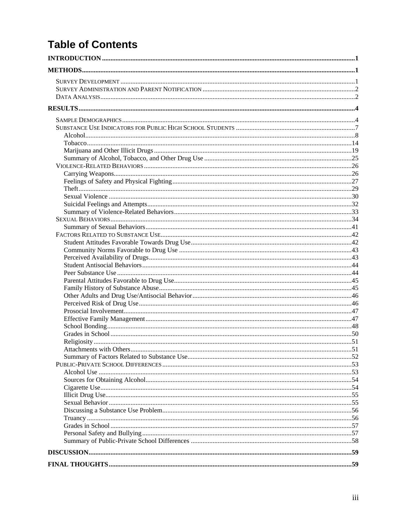# **Table of Contents**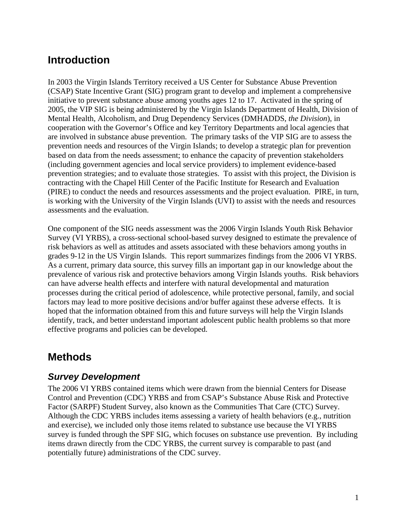## <span id="page-3-0"></span>**Introduction**

In 2003 the Virgin Islands Territory received a US Center for Substance Abuse Prevention (CSAP) State Incentive Grant (SIG) program grant to develop and implement a comprehensive initiative to prevent substance abuse among youths ages 12 to 17. Activated in the spring of 2005, the VIP SIG is being administered by the Virgin Islands Department of Health, Division of Mental Health, Alcoholism, and Drug Dependency Services (DMHADDS, *the Division*), in cooperation with the Governor's Office and key Territory Departments and local agencies that are involved in substance abuse prevention. The primary tasks of the VIP SIG are to assess the prevention needs and resources of the Virgin Islands; to develop a strategic plan for prevention based on data from the needs assessment; to enhance the capacity of prevention stakeholders (including government agencies and local service providers) to implement evidence-based prevention strategies; and to evaluate those strategies. To assist with this project, the Division is contracting with the Chapel Hill Center of the Pacific Institute for Research and Evaluation (PIRE) to conduct the needs and resources assessments and the project evaluation. PIRE, in turn, is working with the University of the Virgin Islands (UVI) to assist with the needs and resources assessments and the evaluation.

One component of the SIG needs assessment was the 2006 Virgin Islands Youth Risk Behavior Survey (VI YRBS), a cross-sectional school-based survey designed to estimate the prevalence of risk behaviors as well as attitudes and assets associated with these behaviors among youths in grades 9-12 in the US Virgin Islands. This report summarizes findings from the 2006 VI YRBS. As a current, primary data source, this survey fills an important gap in our knowledge about the prevalence of various risk and protective behaviors among Virgin Islands youths. Risk behaviors can have adverse health effects and interfere with natural developmental and maturation processes during the critical period of adolescence, while protective personal, family, and social factors may lead to more positive decisions and/or buffer against these adverse effects. It is hoped that the information obtained from this and future surveys will help the Virgin Islands identify, track, and better understand important adolescent public health problems so that more effective programs and policies can be developed.

## **Methods**

## *Survey Development*

The 2006 VI YRBS contained items which were drawn from the biennial Centers for Disease Control and Prevention (CDC) YRBS and from CSAP's Substance Abuse Risk and Protective Factor (SARPF) Student Survey, also known as the Communities That Care (CTC) Survey. Although the CDC YRBS includes items assessing a variety of health behaviors (e.g., nutrition and exercise), we included only those items related to substance use because the VI YRBS survey is funded through the SPF SIG, which focuses on substance use prevention. By including items drawn directly from the CDC YRBS, the current survey is comparable to past (and potentially future) administrations of the CDC survey.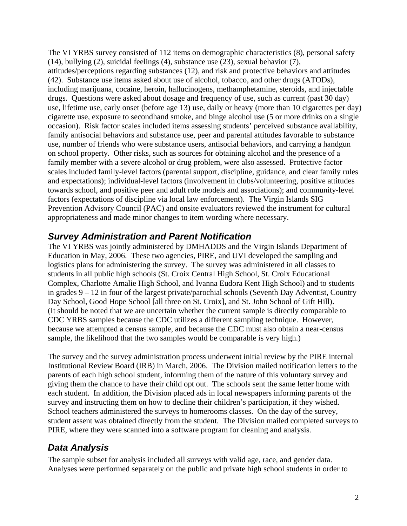<span id="page-4-0"></span>The VI YRBS survey consisted of 112 items on demographic characteristics (8), personal safety (14), bullying (2), suicidal feelings (4), substance use (23), sexual behavior (7), attitudes/perceptions regarding substances (12), and risk and protective behaviors and attitudes (42). Substance use items asked about use of alcohol, tobacco, and other drugs (ATODs), including marijuana, cocaine, heroin, hallucinogens, methamphetamine, steroids, and injectable drugs. Questions were asked about dosage and frequency of use, such as current (past 30 day) use, lifetime use, early onset (before age 13) use, daily or heavy (more than 10 cigarettes per day) cigarette use, exposure to secondhand smoke, and binge alcohol use (5 or more drinks on a single occasion). Risk factor scales included items assessing students' perceived substance availability, family antisocial behaviors and substance use, peer and parental attitudes favorable to substance use, number of friends who were substance users, antisocial behaviors, and carrying a handgun on school property. Other risks, such as sources for obtaining alcohol and the presence of a family member with a severe alcohol or drug problem, were also assessed. Protective factor scales included family-level factors (parental support, discipline, guidance, and clear family rules and expectations); individual-level factors (involvement in clubs/volunteering, positive attitudes towards school, and positive peer and adult role models and associations); and community-level factors (expectations of discipline via local law enforcement). The Virgin Islands SIG Prevention Advisory Council (PAC) and onsite evaluators reviewed the instrument for cultural appropriateness and made minor changes to item wording where necessary.

## *Survey Administration and Parent Notification*

The VI YRBS was jointly administered by DMHADDS and the Virgin Islands Department of Education in May, 2006. These two agencies, PIRE, and UVI developed the sampling and logistics plans for administering the survey. The survey was administered in all classes to students in all public high schools (St. Croix Central High School, St. Croix Educational Complex, Charlotte Amalie High School, and Ivanna Eudora Kent High School) and to students in grades 9 – 12 in four of the largest private/parochial schools (Seventh Day Adventist, Country Day School, Good Hope School [all three on St. Croix], and St. John School of Gift Hill). (It should be noted that we are uncertain whether the current sample is directly comparable to CDC YRBS samples because the CDC utilizes a different sampling technique. However, because we attempted a census sample, and because the CDC must also obtain a near-census sample, the likelihood that the two samples would be comparable is very high.)

The survey and the survey administration process underwent initial review by the PIRE internal Institutional Review Board (IRB) in March, 2006. The Division mailed notification letters to the parents of each high school student, informing them of the nature of this voluntary survey and giving them the chance to have their child opt out. The schools sent the same letter home with each student. In addition, the Division placed ads in local newspapers informing parents of the survey and instructing them on how to decline their children's participation, if they wished. School teachers administered the surveys to homerooms classes. On the day of the survey, student assent was obtained directly from the student. The Division mailed completed surveys to PIRE, where they were scanned into a software program for cleaning and analysis.

## *Data Analysis*

The sample subset for analysis included all surveys with valid age, race, and gender data. Analyses were performed separately on the public and private high school students in order to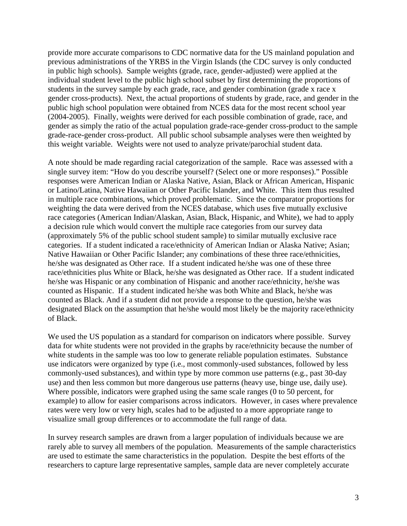provide more accurate comparisons to CDC normative data for the US mainland population and previous administrations of the YRBS in the Virgin Islands (the CDC survey is only conducted in public high schools). Sample weights (grade, race, gender-adjusted) were applied at the individual student level to the public high school subset by first determining the proportions of students in the survey sample by each grade, race, and gender combination (grade x race x gender cross-products). Next, the actual proportions of students by grade, race, and gender in the public high school population were obtained from NCES data for the most recent school year (2004-2005). Finally, weights were derived for each possible combination of grade, race, and gender as simply the ratio of the actual population grade-race-gender cross-product to the sample grade-race-gender cross-product. All public school subsample analyses were then weighted by this weight variable. Weights were not used to analyze private/parochial student data.

A note should be made regarding racial categorization of the sample. Race was assessed with a single survey item: "How do you describe yourself? (Select one or more responses)." Possible responses were American Indian or Alaska Native, Asian, Black or African American, Hispanic or Latino/Latina, Native Hawaiian or Other Pacific Islander, and White. This item thus resulted in multiple race combinations, which proved problematic. Since the comparator proportions for weighting the data were derived from the NCES database, which uses five mutually exclusive race categories (American Indian/Alaskan, Asian, Black, Hispanic, and White), we had to apply a decision rule which would convert the multiple race categories from our survey data (approximately 5% of the public school student sample) to similar mutually exclusive race categories. If a student indicated a race/ethnicity of American Indian or Alaska Native; Asian; Native Hawaiian or Other Pacific Islander; any combinations of these three race/ethnicities, he/she was designated as Other race. If a student indicated he/she was one of these three race/ethnicities plus White or Black, he/she was designated as Other race. If a student indicated he/she was Hispanic or any combination of Hispanic and another race/ethnicity, he/she was counted as Hispanic. If a student indicated he/she was both White and Black, he/she was counted as Black. And if a student did not provide a response to the question, he/she was designated Black on the assumption that he/she would most likely be the majority race/ethnicity of Black.

We used the US population as a standard for comparison on indicators where possible. Survey data for white students were not provided in the graphs by race/ethnicity because the number of white students in the sample was too low to generate reliable population estimates. Substance use indicators were organized by type (i.e., most commonly-used substances, followed by less commonly-used substances), and within type by more common use patterns (e.g., past 30-day use) and then less common but more dangerous use patterns (heavy use, binge use, daily use). Where possible, indicators were graphed using the same scale ranges (0 to 50 percent, for example) to allow for easier comparisons across indicators. However, in cases where prevalence rates were very low or very high, scales had to be adjusted to a more appropriate range to visualize small group differences or to accommodate the full range of data.

In survey research samples are drawn from a larger population of individuals because we are rarely able to survey all members of the population. Measurements of the sample characteristics are used to estimate the same characteristics in the population. Despite the best efforts of the researchers to capture large representative samples, sample data are never completely accurate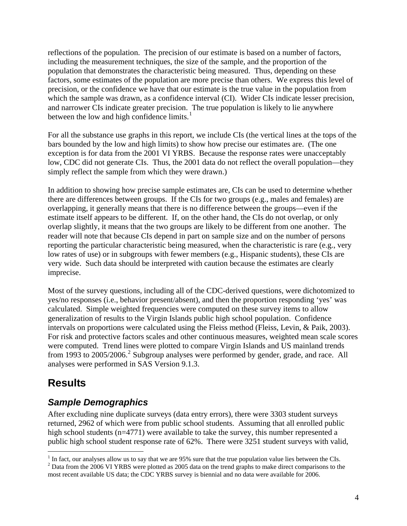<span id="page-6-0"></span>reflections of the population. The precision of our estimate is based on a number of factors, including the measurement techniques, the size of the sample, and the proportion of the population that demonstrates the characteristic being measured. Thus, depending on these factors, some estimates of the population are more precise than others. We express this level of precision, or the confidence we have that our estimate is the true value in the population from which the sample was drawn, as a confidence interval (CI). Wider CIs indicate lesser precision, and narrower CIs indicate greater precision. The true population is likely to lie anywhere between the low and high confidence limits. $<sup>1</sup>$  $<sup>1</sup>$  $<sup>1</sup>$ </sup>

For all the substance use graphs in this report, we include CIs (the vertical lines at the tops of the bars bounded by the low and high limits) to show how precise our estimates are. (The one exception is for data from the 2001 VI YRBS. Because the response rates were unacceptably low, CDC did not generate CIs. Thus, the 2001 data do not reflect the overall population—they simply reflect the sample from which they were drawn.)

In addition to showing how precise sample estimates are, CIs can be used to determine whether there are differences between groups. If the CIs for two groups (e.g., males and females) are overlapping, it generally means that there is no difference between the groups—even if the estimate itself appears to be different. If, on the other hand, the CIs do not overlap, or only overlap slightly, it means that the two groups are likely to be different from one another. The reader will note that because CIs depend in part on sample size and on the number of persons reporting the particular characteristic being measured, when the characteristic is rare (e.g., very low rates of use) or in subgroups with fewer members (e.g., Hispanic students), these CIs are very wide. Such data should be interpreted with caution because the estimates are clearly imprecise.

Most of the survey questions, including all of the CDC-derived questions, were dichotomized to yes/no responses (i.e., behavior present/absent), and then the proportion responding 'yes' was calculated. Simple weighted frequencies were computed on these survey items to allow generalization of results to the Virgin Islands public high school population. Confidence intervals on proportions were calculated using the Fleiss method (Fleiss, Levin, & Paik, 2003). For risk and protective factors scales and other continuous measures, weighted mean scale scores were computed. Trend lines were plotted to compare Virgin Islands and US mainland trends from 1993 to [2](#page-6-2)005/2006.<sup>2</sup> Subgroup analyses were performed by gender, grade, and race. All analyses were performed in SAS Version 9.1.3.

## **Results**

 $\overline{a}$ 

## *Sample Demographics*

After excluding nine duplicate surveys (data entry errors), there were 3303 student surveys returned, 2962 of which were from public school students. Assuming that all enrolled public high school students (n=4771) were available to take the survey, this number represented a public high school student response rate of 62%. There were 3251 student surveys with valid,

<span id="page-6-1"></span><sup>&</sup>lt;sup>1</sup> In fact, our analyses allow us to say that we are 95% sure that the true population value lies between the CIs.<br><sup>2</sup> Data from the 2006 VI VDBS were plotted as 2005 data on the trand graphs to make direct comparisons t

<span id="page-6-2"></span> $2$  Data from the 2006 VI YRBS were plotted as 2005 data on the trend graphs to make direct comparisons to the most recent available US data; the CDC YRBS survey is biennial and no data were available for 2006.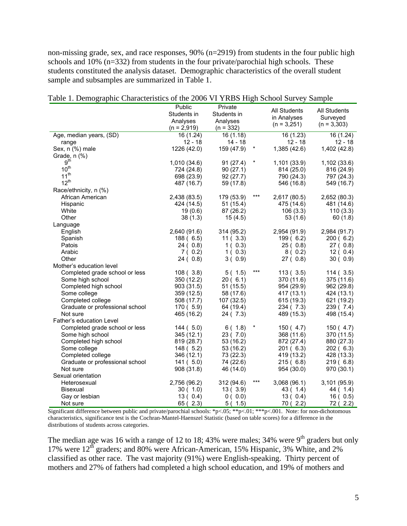non-missing grade, sex, and race responses, 90% (n=2919) from students in the four public high schools and 10% (n=332) from students in the four private/parochial high schools. These students constituted the analysis dataset. Demographic characteristics of the overall student sample and subsamples are summarized in Table 1.

|                                      | Public<br>Students in<br>Analyses<br>$(n = 2,919)$ | Private<br>Students in<br>Analyses<br>$(n = 332)$ |        | All Students<br>in Analyses<br>$(n = 3,251)$ | All Students<br>Surveyed<br>$(n = 3,303)$ |
|--------------------------------------|----------------------------------------------------|---------------------------------------------------|--------|----------------------------------------------|-------------------------------------------|
| Age, median years, (SD)              | 16 (1.24)                                          | 16(1.18)                                          |        | 16 (1.23)                                    | 16 (1.24)                                 |
| range                                | $12 - 18$                                          | $14 - 18$                                         |        | $12 - 18$                                    | $12 - 18$                                 |
| Sex, n (%) male                      | 1226 (42.0)                                        | 159 (47.9)                                        | $\ast$ | 1,385 (42.6)                                 | 1,402 (42.8)                              |
| Grade, $n$ $(\%)$                    |                                                    |                                                   |        |                                              |                                           |
| 9 <sup>th</sup>                      | 1,010 (34.6)                                       | 91(27.4)                                          | $\ast$ | 1,101(33.9)                                  | 1,102(33.6)                               |
| $10^{\text{th}}$                     | 724 (24.8)                                         | 90(27.1)                                          |        | 814 (25.0)                                   | 816 (24.9)                                |
| $11^{\rm th}$                        | 698 (23.9)                                         | 92(27.7)                                          |        | 790 (24.3)                                   | 797 (24.3)                                |
| $12^{th}$                            | 487 (16.7)                                         | 59 (17.8)                                         |        | 546 (16.8)                                   | 549 (16.7)                                |
| Race/ethnicity, n (%)                |                                                    |                                                   |        |                                              |                                           |
| African American                     | 2,438 (83.5)                                       | 179 (53.9)                                        | $***$  | 2,617 (80.5)                                 | 2,652 (80.3)                              |
| Hispanic                             | 424 (14.5)                                         | 51(15.4)                                          |        | 475 (14.6)                                   | 481 (14.6)                                |
| White                                | 19(0.6)                                            | 87 (26.2)                                         |        | 106(3.3)                                     | 110(3.3)                                  |
| Other                                | 38(1.3)                                            | 15(4.5)                                           |        | 53 (1.6)                                     | 60(1.8)                                   |
| Language                             |                                                    |                                                   |        |                                              |                                           |
| English                              | 2,640 (91.6)                                       | 314 (95.2)                                        |        | 2,954 (91.9)                                 | 2,984 (91.7)                              |
| Spanish                              | 188(6.5)                                           | 11(3.3)                                           |        | 199(6.2)                                     | 200(6.2)                                  |
| Patois                               | 24(0.8)                                            | 1(0.3)                                            |        | 25(0.8)                                      | 27(0.8)                                   |
| Arabic                               | 7(0.2)                                             | 1(0.3)                                            |        | 8(0.2)                                       | 12(0.4)                                   |
| Other                                | 24(0.8)                                            | 3(0.9)                                            |        | 27(0.8)                                      | 30(0.9)                                   |
| Mother's education level             |                                                    |                                                   | $***$  |                                              |                                           |
| Completed grade school or less       | 108(3.8)                                           | 5(1.5)                                            |        | 113(3.5)                                     | 114(3.5)                                  |
| Some high school                     | 350 (12.2)                                         | 20(6.1)                                           |        | 370 (11.6)                                   | 375 (11.6)                                |
| Completed high school                | 903 (31.5)                                         | 51 (15.5)                                         |        | 954 (29.9)                                   | 962 (29.8)                                |
| Some college                         | 359 (12.5)                                         | 58 (17.6)                                         |        | 417 (13.1)                                   | 424 (13.1)                                |
| Completed college                    | 508 (17.7)                                         | 107 (32.5)                                        |        | 615 (19.3)                                   | 621 (19.2)                                |
| Graduate or professional school      | 170(5.9)                                           | 64 (19.4)                                         |        | 234 (7.3)                                    | 239 (7.4)                                 |
| Not sure<br>Father's education Level | 465 (16.2)                                         | 24 ( 7.3)                                         |        | 489 (15.3)                                   | 498 (15.4)                                |
| Completed grade school or less       | 144(5.0)                                           | 6(1.8)                                            | $\ast$ | 150(4.7)                                     | 150(4.7)                                  |
| Some high school                     | 345 (12.1)                                         | 23(7.0)                                           |        | 368 (11.6)                                   | 370 (11.5)                                |
| Completed high school                | 819 (28.7)                                         | 53 (16.2)                                         |        | 872 (27.4)                                   | 880 (27.3)                                |
| Some college                         | 148(5.2)                                           | 53 (16.2)                                         |        | 201(6.3)                                     | 202(6.3)                                  |
| Completed college                    | 346 (12.1)                                         | 73 (22.3)                                         |        | 419 (13.2)                                   | 428 (13.3)                                |
| Graduate or professional school      | 141(5.0)                                           | 74 (22.6)                                         |        | 215(6.8)                                     | 219(6.8)                                  |
| Not sure                             | 908 (31.8)                                         | 46 (14.0)                                         |        | 954 (30.0)                                   | 970 (30.1)                                |
| Sexual orientation                   |                                                    |                                                   |        |                                              |                                           |
| Heterosexual                         | 2,756 (96.2)                                       | 312 (94.6)                                        | $***$  | 3,068(96.1)                                  | 3,101 (95.9)                              |
| <b>Bisexual</b>                      | 30(1.0)                                            | 13(3.9)                                           |        | 43 ( 1.4)                                    | 44 ( 1.4)                                 |
| Gay or lesbian                       | 13(0.4)                                            | 0(0.0)                                            |        | 13(0.4)                                      | 16(0.5)                                   |
| Not sure                             | 65(2.3)                                            | 5(1.5)                                            |        | 70(2.2)                                      | 72 (2.2)                                  |

|  | Table 1. Demographic Characteristics of the 2006 VI YRBS High School Survey Sample |  |  |
|--|------------------------------------------------------------------------------------|--|--|
|  |                                                                                    |  |  |

Significant difference between public and private/parochial schools: \*p<.05; \*\*p<.01; \*\*\*p<.001. Note: for non-dichotomous characteristics, significance test is the Cochran-Mantel-Haenszel Statistic (based on table scores) for a difference in the distributions of students across categories.

The median age was 16 with a range of 12 to 18; 43% were males; 34% were  $9<sup>th</sup>$  graders but only 17% were 12<sup>th</sup> graders; and 80% were African-American, 15% Hispanic, 3% White, and 2% classified as other race. The vast majority (91%) were English-speaking. Thirty percent of mothers and 27% of fathers had completed a high school education, and 19% of mothers and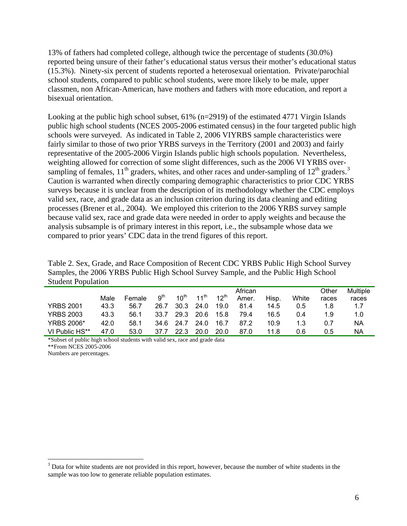13% of fathers had completed college, although twice the percentage of students (30.0%) reported being unsure of their father's educational status versus their mother's educational status (15.3%). Ninety-six percent of students reported a heterosexual orientation. Private/parochial school students, compared to public school students, were more likely to be male, upper classmen, non African-American, have mothers and fathers with more education, and report a bisexual orientation.

Looking at the public high school subset, 61% (n=2919) of the estimated 4771 Virgin Islands public high school students (NCES 2005-2006 estimated census) in the four targeted public high schools were surveyed. As indicated in Table 2, 2006 VIYRBS sample characteristics were fairly similar to those of two prior YRBS surveys in the Territory (2001 and 2003) and fairly representative of the 2005-2006 Virgin Islands public high schools population. Nevertheless, weighting allowed for correction of some slight differences, such as the 2006 VI YRBS oversampling of females,  $11<sup>th</sup>$  graders, whites, and other races and under-sampling of  $12<sup>th</sup>$  graders.<sup>3</sup> Caution is warranted when directly comparing demographic characteristics to prior CDC YRBS surveys because it is unclear from the description of its methodology whether the CDC employs valid sex, race, and grade data as an inclusion criterion during its data cleaning and editing processes (Brener et al., 2004). We employed this criterion to the 2006 YRBS survey sample because valid sex, race and grade data were needed in order to apply weights and because the analysis subsample is of primary interest in this report, i.e., the subsample whose data we compared to prior years' CDC data in the trend figures of this report.

Table 2. Sex, Grade, and Race Composition of Recent CDC YRBS Public High School Survey Samples, the 2006 YRBS Public High School Survey Sample, and the Public High School Student Population

|                   |      |        |                 |           |                  |           | African |       |       | Other | Multiple |
|-------------------|------|--------|-----------------|-----------|------------------|-----------|---------|-------|-------|-------|----------|
|                   | Male | Female | q <sup>th</sup> | $10^{th}$ | $11^{\text{th}}$ | $12^{th}$ | Amer.   | Hisp. | White | races | races    |
| <b>YRBS 2001</b>  | 43.3 | 56.7   | 26.7            | 30.3      | 24.0             | 19.0      | 81.4    | 14.5  | 0.5   | 1.8   | 1.7      |
| <b>YRBS 2003</b>  | 43.3 | 56.1   | 33.7            | 29.3      | 20.6             | 15.8      | 79.4    | 16.5  | 0.4   | 1.9   | 1.0      |
| <b>YRBS 2006*</b> | 42.0 | 58.1   | 34.6            | 24.7      | 24.0             | 16.7      | 87.2    | 10.9  | 1.3   | 0.7   | NА       |
| VI Public HS**    | 47.0 | 53.0   | 37.7            | 22.3      | 20.0             | 20.0      | 87.0    | 11.8  | 0.6   | 0.5   | ΝA       |

\*Subset of public high school students with valid sex, race and grade data

\*\*From NCES 2005-2006

Numbers are percentages.

 $\overline{a}$ 

<span id="page-8-0"></span> $3$  Data for white students are not provided in this report, however, because the number of white students in the sample was too low to generate reliable population estimates.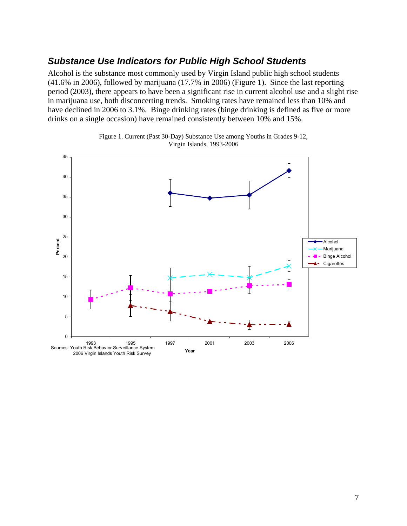### <span id="page-9-0"></span>*Substance Use Indicators for Public High School Students*

Alcohol is the substance most commonly used by Virgin Island public high school students (41.6% in 2006), followed by marijuana (17.7% in 2006) (Figure 1). Since the last reporting period (2003), there appears to have been a significant rise in current alcohol use and a slight rise in marijuana use, both disconcerting trends. Smoking rates have remained less than 10% and have declined in 2006 to 3.1%. Binge drinking rates (binge drinking is defined as five or more drinks on a single occasion) have remained consistently between 10% and 15%.



Figure 1. Current (Past 30-Day) Substance Use among Youths in Grades 9-12, Virgin Islands, 1993-2006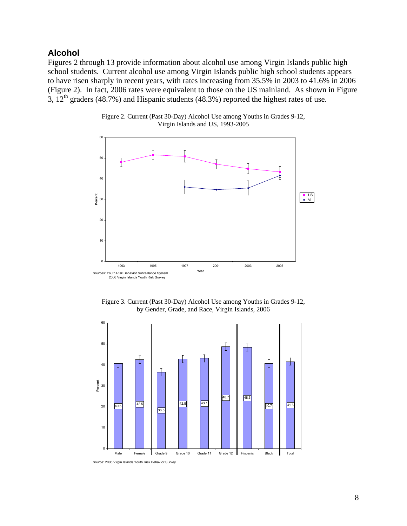#### <span id="page-10-0"></span>**Alcohol**

Figures 2 through 13 provide information about alcohol use among Virgin Islands public high school students. Current alcohol use among Virgin Islands public high school students appears to have risen sharply in recent years, with rates increasing from 35.5% in 2003 to 41.6% in 2006 (Figure 2). In fact, 2006 rates were equivalent to those on the US mainland. As shown in Figure 3,  $12<sup>th</sup>$  graders (48.7%) and Hispanic students (48.3%) reported the highest rates of use.



Figure 2. Current (Past 30-Day) Alcohol Use among Youths in Grades 9-12, Virgin Islands and US, 1993-2005

Figure 3. Current (Past 30-Day) Alcohol Use among Youths in Grades 9-12, by Gender, Grade, and Race, Virgin Islands, 2006



Source: 2006 Virgin Islands Youth Risk Behavior Survey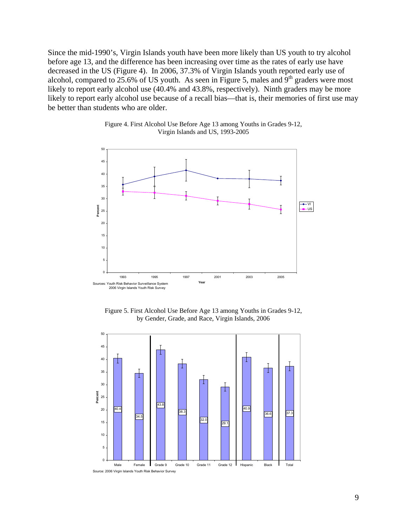Since the mid-1990's, Virgin Islands youth have been more likely than US youth to try alcohol before age 13, and the difference has been increasing over time as the rates of early use have decreased in the US (Figure 4). In 2006, 37.3% of Virgin Islands youth reported early use of alcohol, compared to  $25.6\%$  of US youth. As seen in Figure 5, males and  $9<sup>th</sup>$  graders were most likely to report early alcohol use (40.4% and 43.8%, respectively). Ninth graders may be more likely to report early alcohol use because of a recall bias—that is, their memories of first use may be better than students who are older.



Figure 4. First Alcohol Use Before Age 13 among Youths in Grades 9-12, Virgin Islands and US, 1993-2005

Figure 5. First Alcohol Use Before Age 13 among Youths in Grades 9-12, by Gender, Grade, and Race, Virgin Islands, 2006

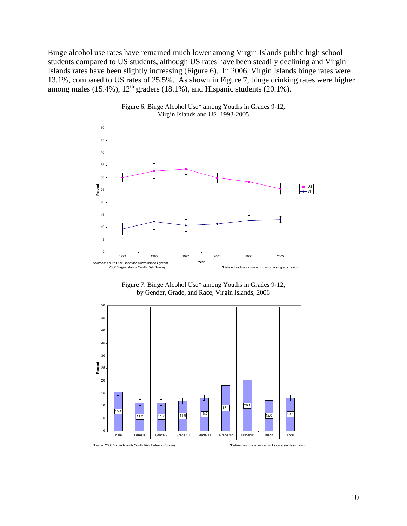Binge alcohol use rates have remained much lower among Virgin Islands public high school students compared to US students, although US rates have been steadily declining and Virgin Islands rates have been slightly increasing (Figure 6). In 2006, Virgin Islands binge rates were 13.1%, compared to US rates of 25.5%. As shown in Figure 7, binge drinking rates were higher among males (15.4%),  $12<sup>th</sup>$  graders (18.1%), and Hispanic students (20.1%).



Figure 6. Binge Alcohol Use\* among Youths in Grades 9-12, Virgin Islands and US, 1993-2005





Source: 2006 Virgin Islands Youth Risk Behavior Survey \*Defined as five or more drinks on a single occasion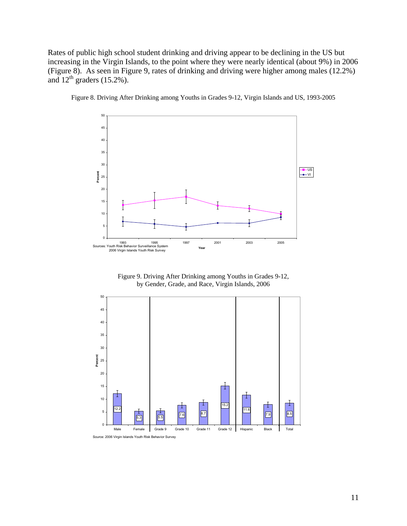Rates of public high school student drinking and driving appear to be declining in the US but increasing in the Virgin Islands, to the point where they were nearly identical (about 9%) in 2006 (Figure 8). As seen in Figure 9, rates of drinking and driving were higher among males (12.2%) and  $12^{th}$  graders (15.2%).



Figure 8. Driving After Drinking among Youths in Grades 9-12, Virgin Islands and US, 1993-2005

Figure 9. Driving After Drinking among Youths in Grades 9-12, by Gender, Grade, and Race, Virgin Islands, 2006



Source: 2006 Virgin Islands Youth Risk Behavior Survey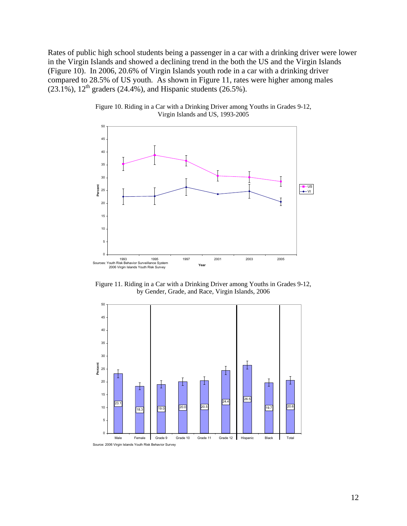Rates of public high school students being a passenger in a car with a drinking driver were lower in the Virgin Islands and showed a declining trend in the both the US and the Virgin Islands (Figure 10). In 2006, 20.6% of Virgin Islands youth rode in a car with a drinking driver compared to 28.5% of US youth. As shown in Figure 11, rates were higher among males  $(23.1\%)$ ,  $12^{th}$  graders (24.4%), and Hispanic students (26.5%).



Figure 10. Riding in a Car with a Drinking Driver among Youths in Grades 9-12, Virgin Islands and US, 1993-2005

Figure 11. Riding in a Car with a Drinking Driver among Youths in Grades 9-12, by Gender, Grade, and Race, Virgin Islands, 2006

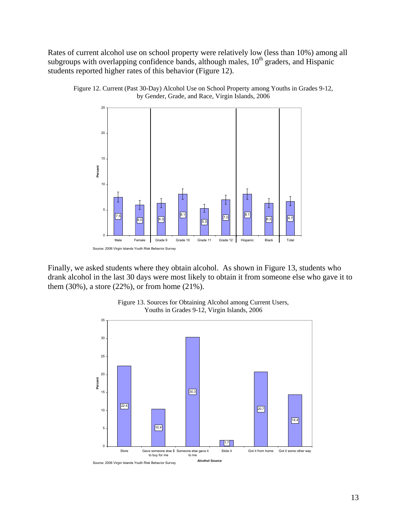Rates of current alcohol use on school property were relatively low (less than 10%) among all subgroups with overlapping confidence bands, although males, 10<sup>th</sup> graders, and Hispanic students reported higher rates of this behavior (Figure 12).



Figure 12. Current (Past 30-Day) Alcohol Use on School Property among Youths in Grades 9-12, by Gender, Grade, and Race, Virgin Islands, 2006

Finally, we asked students where they obtain alcohol. As shown in Figure 13, students who drank alcohol in the last 30 days were most likely to obtain it from someone else who gave it to them (30%), a store (22%), or from home (21%).



Figure 13. Sources for Obtaining Alcohol among Current Users, Youths in Grades 9-12, Virgin Islands, 2006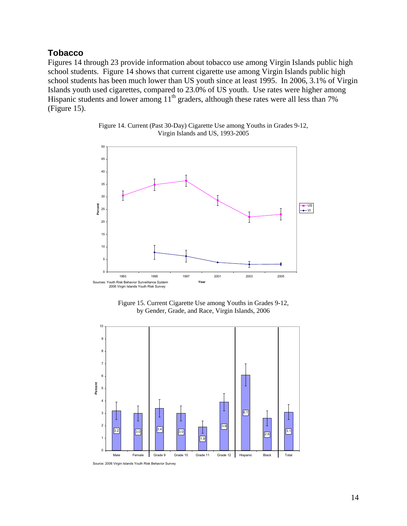#### <span id="page-16-0"></span>**Tobacco**

Figures 14 through 23 provide information about tobacco use among Virgin Islands public high school students. Figure 14 shows that current cigarette use among Virgin Islands public high school students has been much lower than US youth since at least 1995. In 2006, 3.1% of Virgin Islands youth used cigarettes, compared to 23.0% of US youth. Use rates were higher among Hispanic students and lower among  $11<sup>th</sup>$  graders, although these rates were all less than 7% (Figure 15).



Figure 14. Current (Past 30-Day) Cigarette Use among Youths in Grades 9-12, Virgin Islands and US, 1993-2005

Figure 15. Current Cigarette Use among Youths in Grades 9-12, by Gender, Grade, and Race, Virgin Islands, 2006



Source: 2006 Virgin Islands Youth Risk Behavior Survey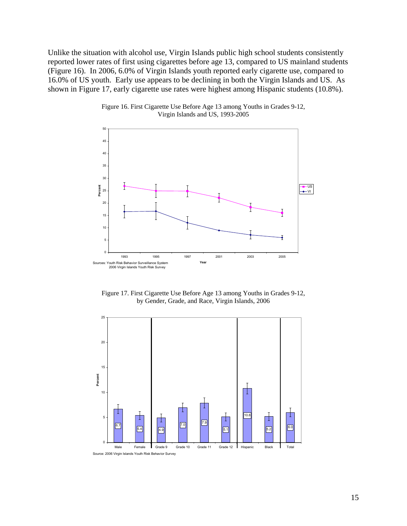Unlike the situation with alcohol use, Virgin Islands public high school students consistently reported lower rates of first using cigarettes before age 13, compared to US mainland students (Figure 16). In 2006, 6.0% of Virgin Islands youth reported early cigarette use, compared to 16.0% of US youth. Early use appears to be declining in both the Virgin Islands and US. As shown in Figure 17, early cigarette use rates were highest among Hispanic students (10.8%).



Figure 16. First Cigarette Use Before Age 13 among Youths in Grades 9-12, Virgin Islands and US, 1993-2005

Figure 17. First Cigarette Use Before Age 13 among Youths in Grades 9-12, by Gender, Grade, and Race, Virgin Islands, 2006

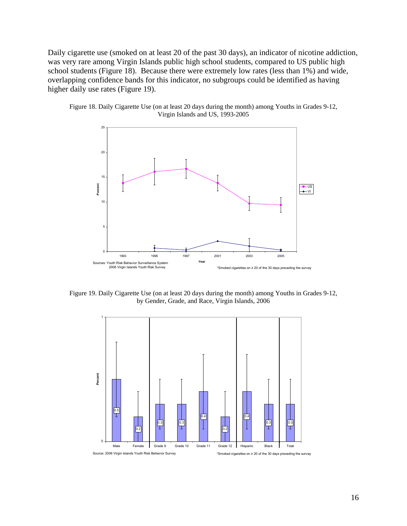Daily cigarette use (smoked on at least 20 of the past 30 days), an indicator of nicotine addiction, was very rare among Virgin Islands public high school students, compared to US public high school students (Figure 18). Because there were extremely low rates (less than 1%) and wide, overlapping confidence bands for this indicator, no subgroups could be identified as having higher daily use rates (Figure 19).





Figure 19. Daily Cigarette Use (on at least 20 days during the month) among Youths in Grades 9-12, by Gender, Grade, and Race, Virgin Islands, 2006

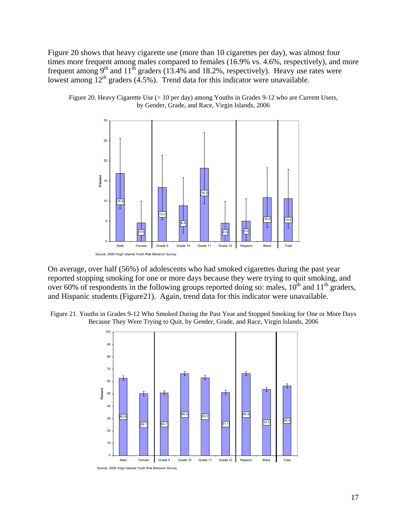Figure 20 shows that heavy cigarette use (more than 10 cigarettes per day), was almost four times more frequent among males compared to females (16.9% vs. 4.6%, respectively), and more frequent among  $9<sup>th</sup>$  and  $11<sup>th</sup>$  graders (13.4% and 18.2%, respectively). Heavy use rates were lowest among  $12<sup>th</sup>$  graders (4.5%). Trend data for this indicator were unavailable.





On average, over half (56%) of adolescents who had smoked cigarettes during the past year reported stopping smoking for one or more days because they were trying to quit smoking, and over 60% of respondents in the following groups reported doing so: males,  $10^{th}$  and  $11^{th}$  graders, and Hispanic students (Figure21). Again, trend data for this indicator were unavailable.

Figure 21. Youths in Grades 9-12 Who Smoked During the Past Year and Stopped Smoking for One or More Days Because They Were Trying to Quit, by Gender, Grade, and Race, Virgin Islands, 2006

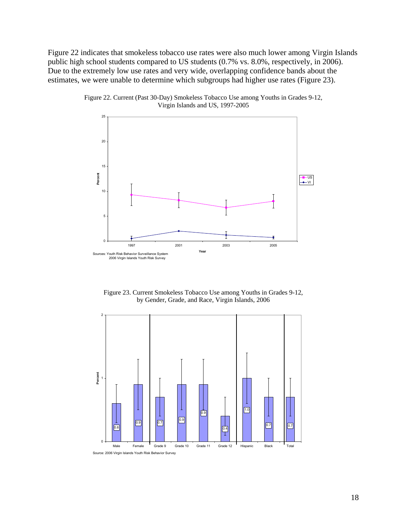Figure 22 indicates that smokeless tobacco use rates were also much lower among Virgin Islands public high school students compared to US students (0.7% vs. 8.0%, respectively, in 2006). Due to the extremely low use rates and very wide, overlapping confidence bands about the estimates, we were unable to determine which subgroups had higher use rates (Figure 23).



Figure 22. Current (Past 30-Day) Smokeless Tobacco Use among Youths in Grades 9-12, Virgin Islands and US, 1997-2005

Figure 23. Current Smokeless Tobacco Use among Youths in Grades 9-12, by Gender, Grade, and Race, Virgin Islands, 2006

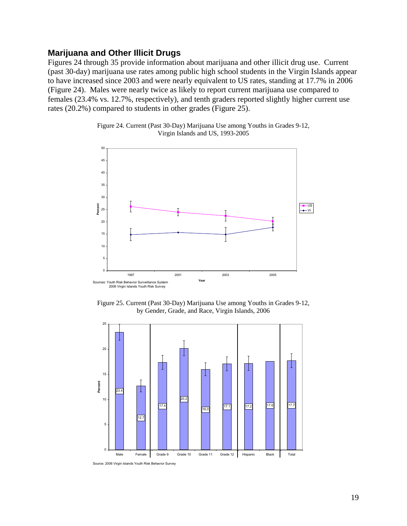#### <span id="page-21-0"></span>**Marijuana and Other Illicit Drugs**

Figures 24 through 35 provide information about marijuana and other illicit drug use. Current (past 30-day) marijuana use rates among public high school students in the Virgin Islands appear to have increased since 2003 and were nearly equivalent to US rates, standing at 17.7% in 2006 (Figure 24). Males were nearly twice as likely to report current marijuana use compared to females (23.4% vs. 12.7%, respectively), and tenth graders reported slightly higher current use rates (20.2%) compared to students in other grades (Figure 25).





Figure 25. Current (Past 30-Day) Marijuana Use among Youths in Grades 9-12, by Gender, Grade, and Race, Virgin Islands, 2006



Source: 2006 Virgin Islands Youth Risk Behavior Survey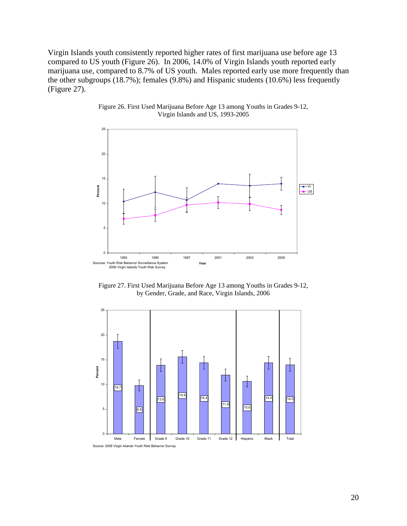Virgin Islands youth consistently reported higher rates of first marijuana use before age 13 compared to US youth (Figure 26). In 2006, 14.0% of Virgin Islands youth reported early marijuana use, compared to 8.7% of US youth. Males reported early use more frequently than the other subgroups (18.7%); females (9.8%) and Hispanic students (10.6%) less frequently (Figure 27).



Figure 26. First Used Marijuana Before Age 13 among Youths in Grades 9-12, Virgin Islands and US, 1993-2005

Figure 27. First Used Marijuana Before Age 13 among Youths in Grades 9-12, by Gender, Grade, and Race, Virgin Islands, 2006



20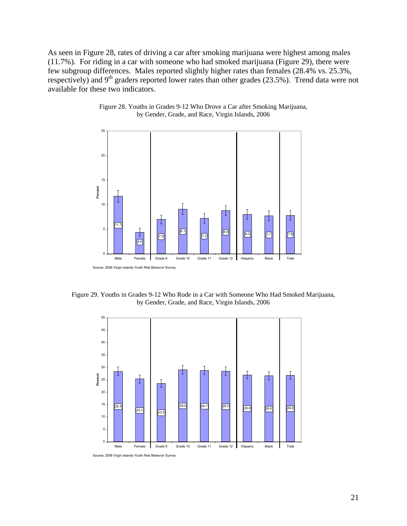As seen in Figure 28, rates of driving a car after smoking marijuana were highest among males (11.7%). For riding in a car with someone who had smoked marijuana (Figure 29), there were few subgroup differences. Males reported slightly higher rates than females (28.4% vs. 25.3%, respectively) and 9<sup>th</sup> graders reported lower rates than other grades (23.5%). Trend data were not available for these two indicators.



Figure 28. Youths in Grades 9-12 Who Drove a Car after Smoking Marijuana, by Gender, Grade, and Race, Virgin Islands, 2006

Figure 29. Youths in Grades 9-12 Who Rode in a Car with Someone Who Had Smoked Marijuana, by Gender, Grade, and Race, Virgin Islands, 2006

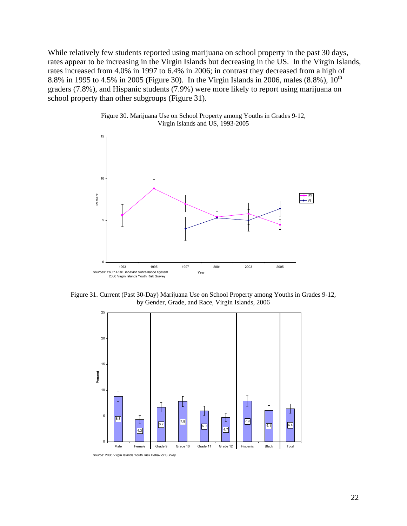While relatively few students reported using marijuana on school property in the past 30 days, rates appear to be increasing in the Virgin Islands but decreasing in the US. In the Virgin Islands, rates increased from 4.0% in 1997 to 6.4% in 2006; in contrast they decreased from a high of 8.8% in 1995 to 4.5% in 2005 (Figure 30). In the Virgin Islands in 2006, males  $(8.8\%)$ ,  $10^{th}$ graders (7.8%), and Hispanic students (7.9%) were more likely to report using marijuana on school property than other subgroups (Figure 31).





Figure 31. Current (Past 30-Day) Marijuana Use on School Property among Youths in Grades 9-12, by Gender, Grade, and Race, Virgin Islands, 2006

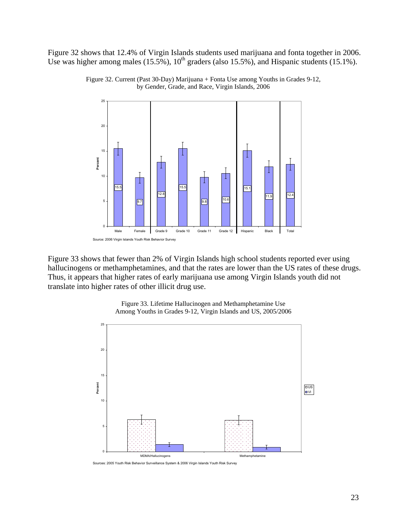Figure 32 shows that 12.4% of Virgin Islands students used marijuana and fonta together in 2006. Use was higher among males (15.5%),  $10^{th}$  graders (also 15.5%), and Hispanic students (15.1%).





Figure 33 shows that fewer than 2% of Virgin Islands high school students reported ever using hallucinogens or methamphetamines, and that the rates are lower than the US rates of these drugs. Thus, it appears that higher rates of early marijuana use among Virgin Islands youth did not translate into higher rates of other illicit drug use.



Figure 33. Lifetime Hallucinogen and Methamphetamine Use Among Youths in Grades 9-12, Virgin Islands and US, 2005/2006

Sources: 2005 Youth Risk Behavior Surveillance System & 2006 Virgin Islands Youth Risk Survey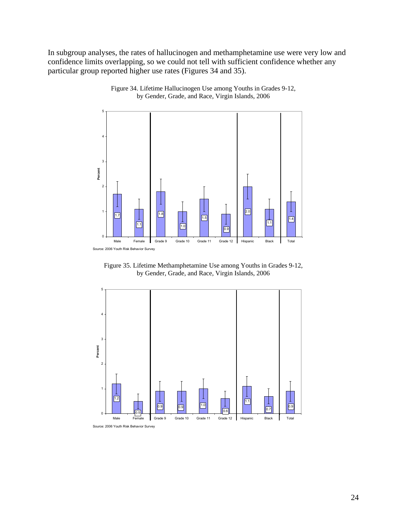In subgroup analyses, the rates of hallucinogen and methamphetamine use were very low and confidence limits overlapping, so we could not tell with sufficient confidence whether any particular group reported higher use rates (Figures 34 and 35).



Figure 34. Lifetime Hallucinogen Use among Youths in Grades 9-12, by Gender, Grade, and Race, Virgin Islands, 2006

Figure 35. Lifetime Methamphetamine Use among Youths in Grades 9-12, by Gender, Grade, and Race, Virgin Islands, 2006

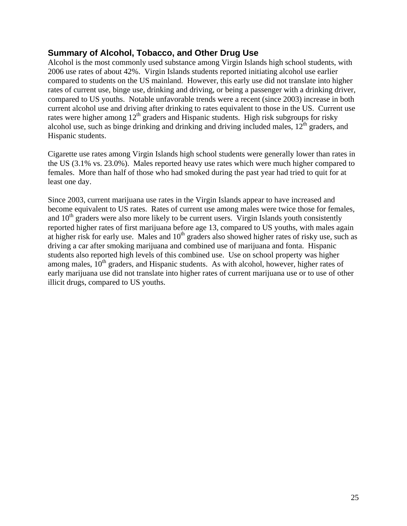#### <span id="page-27-0"></span>**Summary of Alcohol, Tobacco, and Other Drug Use**

Alcohol is the most commonly used substance among Virgin Islands high school students, with 2006 use rates of about 42%. Virgin Islands students reported initiating alcohol use earlier compared to students on the US mainland. However, this early use did not translate into higher rates of current use, binge use, drinking and driving, or being a passenger with a drinking driver, compared to US youths. Notable unfavorable trends were a recent (since 2003) increase in both current alcohol use and driving after drinking to rates equivalent to those in the US. Current use rates were higher among  $12<sup>th</sup>$  graders and Hispanic students. High risk subgroups for risky alcohol use, such as binge drinking and drinking and driving included males,  $12<sup>th</sup>$  graders, and Hispanic students.

Cigarette use rates among Virgin Islands high school students were generally lower than rates in the US (3.1% vs. 23.0%). Males reported heavy use rates which were much higher compared to females. More than half of those who had smoked during the past year had tried to quit for at least one day.

Since 2003, current marijuana use rates in the Virgin Islands appear to have increased and become equivalent to US rates. Rates of current use among males were twice those for females, and  $10<sup>th</sup>$  graders were also more likely to be current users. Virgin Islands youth consistently reported higher rates of first marijuana before age 13, compared to US youths, with males again at higher risk for early use. Males and  $10<sup>th</sup>$  graders also showed higher rates of risky use, such as driving a car after smoking marijuana and combined use of marijuana and fonta. Hispanic students also reported high levels of this combined use. Use on school property was higher among males,  $10<sup>th</sup>$  graders, and Hispanic students. As with alcohol, however, higher rates of early marijuana use did not translate into higher rates of current marijuana use or to use of other illicit drugs, compared to US youths.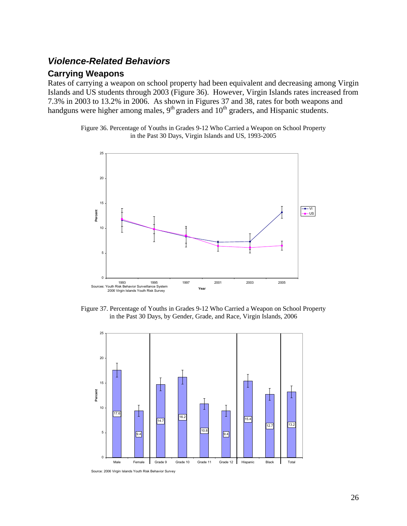### <span id="page-28-0"></span>*Violence-Related Behaviors*

#### **Carrying Weapons**

Rates of carrying a weapon on school property had been equivalent and decreasing among Virgin Islands and US students through 2003 (Figure 36). However, Virgin Islands rates increased from 7.3% in 2003 to 13.2% in 2006. As shown in Figures 37 and 38, rates for both weapons and handguns were higher among males,  $9<sup>th</sup>$  graders and  $10<sup>th</sup>$  graders, and Hispanic students.

> Figure 36. Percentage of Youths in Grades 9-12 Who Carried a Weapon on School Property in the Past 30 Days, Virgin Islands and US, 1993-2005



Figure 37. Percentage of Youths in Grades 9-12 Who Carried a Weapon on School Property in the Past 30 Days, by Gender, Grade, and Race, Virgin Islands, 2006



Source: 2006 Virgin Islands Youth Risk Behavior Survey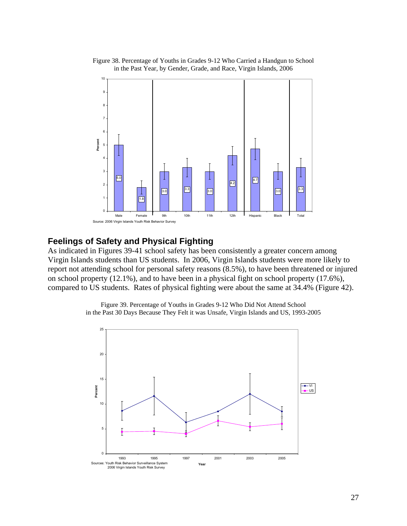

<span id="page-29-0"></span>Figure 38. Percentage of Youths in Grades 9-12 Who Carried a Handgun to School in the Past Year, by Gender, Grade, and Race, Virgin Islands, 2006

#### **Feelings of Safety and Physical Fighting**

As indicated in Figures 39-41 school safety has been consistently a greater concern among Virgin Islands students than US students. In 2006, Virgin Islands students were more likely to report not attending school for personal safety reasons (8.5%), to have been threatened or injured on school property (12.1%), and to have been in a physical fight on school property (17.6%), compared to US students. Rates of physical fighting were about the same at 34.4% (Figure 42).

> Figure 39. Percentage of Youths in Grades 9-12 Who Did Not Attend School in the Past 30 Days Because They Felt it was Unsafe, Virgin Islands and US, 1993-2005

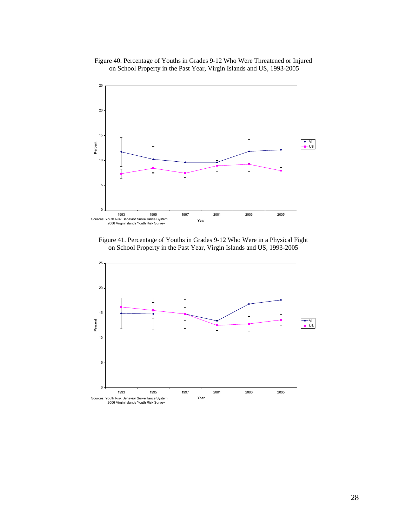#### Figure 40. Percentage of Youths in Grades 9-12 Who Were Threatened or Injured on School Property in the Past Year, Virgin Islands and US, 1993-2005



Figure 41. Percentage of Youths in Grades 9-12 Who Were in a Physical Fight on School Property in the Past Year, Virgin Islands and US, 1993-2005

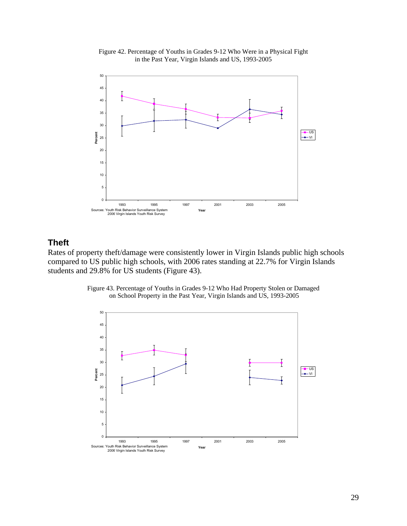

<span id="page-31-0"></span>Figure 42. Percentage of Youths in Grades 9-12 Who Were in a Physical Fight in the Past Year, Virgin Islands and US, 1993-2005

## **Theft**

Rates of property theft/damage were consistently lower in Virgin Islands public high schools compared to US public high schools, with 2006 rates standing at 22.7% for Virgin Islands students and 29.8% for US students (Figure 43).



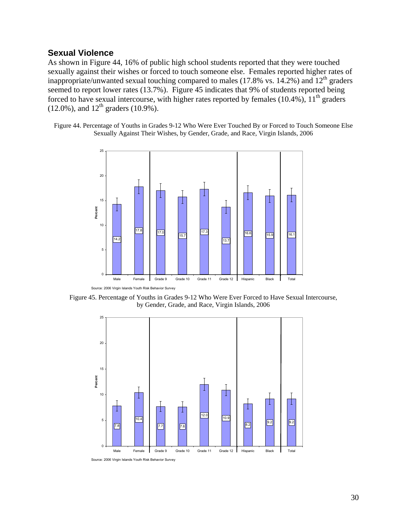#### <span id="page-32-0"></span>**Sexual Violence**

As shown in Figure 44, 16% of public high school students reported that they were touched sexually against their wishes or forced to touch someone else. Females reported higher rates of inappropriate/unwanted sexual touching compared to males (17.8% vs.  $14.2\%$ ) and  $12<sup>th</sup>$  graders seemed to report lower rates (13.7%). Figure 45 indicates that 9% of students reported being forced to have sexual intercourse, with higher rates reported by females  $(10.4\%)$ ,  $11<sup>th</sup>$  graders  $(12.0\%)$ , and  $12<sup>th</sup>$  graders  $(10.9\%)$ .

Figure 44. Percentage of Youths in Grades 9-12 Who Were Ever Touched By or Forced to Touch Someone Else Sexually Against Their Wishes, by Gender, Grade, and Race, Virgin Islands, 2006



Figure 45. Percentage of Youths in Grades 9-12 Who Were Ever Forced to Have Sexual Intercourse, by Gender, Grade, and Race, Virgin Islands, 2006



Source: 2006 Virgin Islands Youth Risk Behavior Survey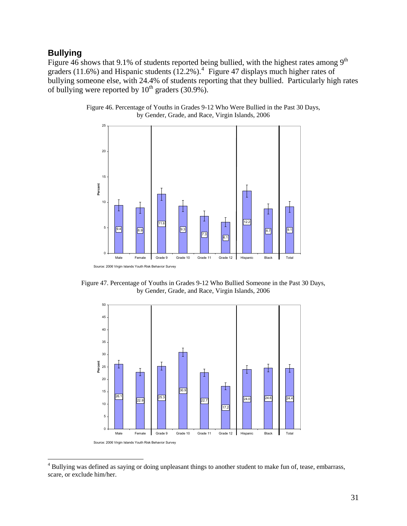#### **Bullying**

 $\overline{a}$ 

Figure 46 shows that 9.1% of students reported being bullied, with the highest rates among  $9<sup>th</sup>$ graders (11.6%) and Hispanic students  $(12.2\%)$ .<sup>[4](#page-33-0)</sup> Figure 47 displays much higher rates of bullying someone else, with 24.4% of students reporting that they bullied. Particularly high rates of bullying were reported by  $10^{th}$  graders (30.9%).



Figure 46. Percentage of Youths in Grades 9-12 Who Were Bullied in the Past 30 Days, by Gender, Grade, and Race, Virgin Islands, 2006

Figure 47. Percentage of Youths in Grades 9-12 Who Bullied Someone in the Past 30 Days, by Gender, Grade, and Race, Virgin Islands, 2006



<span id="page-33-0"></span><sup>&</sup>lt;sup>4</sup> Bullying was defined as saying or doing unpleasant things to another student to make fun of, tease, embarrass, scare, or exclude him/her.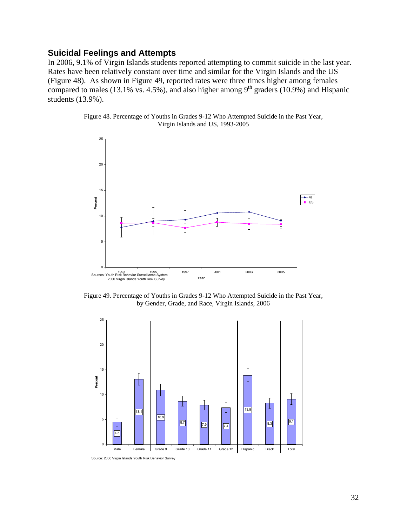#### <span id="page-34-0"></span>**Suicidal Feelings and Attempts**

In 2006, 9.1% of Virgin Islands students reported attempting to commit suicide in the last year. Rates have been relatively constant over time and similar for the Virgin Islands and the US (Figure 48). As shown in Figure 49, reported rates were three times higher among females compared to males  $(13.1\% \text{ vs. } 4.5\%)$ , and also higher among  $9^{\text{th}}$  graders  $(10.9\%)$  and Hispanic students (13.9%).





Figure 49. Percentage of Youths in Grades 9-12 Who Attempted Suicide in the Past Year, by Gender, Grade, and Race, Virgin Islands, 2006



Source: 2006 Virgin Islands Youth Risk Behavior Survey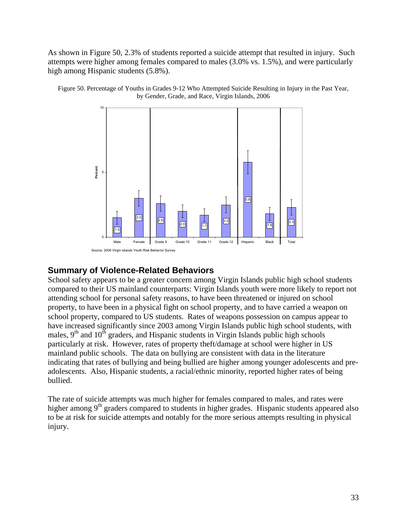<span id="page-35-0"></span>As shown in Figure 50, 2.3% of students reported a suicide attempt that resulted in injury. Such attempts were higher among females compared to males (3.0% vs. 1.5%), and were particularly high among Hispanic students (5.8%).



Figure 50. Percentage of Youths in Grades 9-12 Who Attempted Suicide Resulting in Injury in the Past Year, by Gender, Grade, and Race, Virgin Islands, 2006

#### **Summary of Violence-Related Behaviors**

School safety appears to be a greater concern among Virgin Islands public high school students compared to their US mainland counterparts: Virgin Islands youth were more likely to report not attending school for personal safety reasons, to have been threatened or injured on school property, to have been in a physical fight on school property, and to have carried a weapon on school property, compared to US students. Rates of weapons possession on campus appear to have increased significantly since 2003 among Virgin Islands public high school students, with males,  $9<sup>th</sup>$  and  $10<sup>th</sup>$  graders, and Hispanic students in Virgin Islands public high schools particularly at risk. However, rates of property theft/damage at school were higher in US mainland public schools. The data on bullying are consistent with data in the literature indicating that rates of bullying and being bullied are higher among younger adolescents and preadolescents. Also, Hispanic students, a racial/ethnic minority, reported higher rates of being bullied.

The rate of suicide attempts was much higher for females compared to males, and rates were higher among  $9<sup>th</sup>$  graders compared to students in higher grades. Hispanic students appeared also to be at risk for suicide attempts and notably for the more serious attempts resulting in physical injury.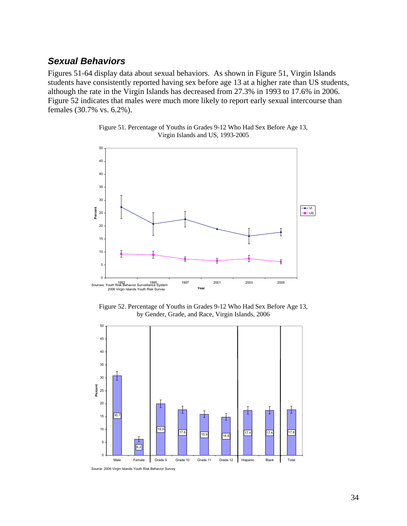#### <span id="page-36-0"></span>*Sexual Behaviors*

Figures 51-64 display data about sexual behaviors. As shown in Figure 51, Virgin Islands students have consistently reported having sex before age 13 at a higher rate than US students, although the rate in the Virgin Islands has decreased from 27.3% in 1993 to 17.6% in 2006. Figure 52 indicates that males were much more likely to report early sexual intercourse than females (30.7% vs. 6.2%).



Figure 51. Percentage of Youths in Grades 9-12 Who Had Sex Before Age 13, Virgin Islands and US, 1993-2005

Figure 52. Percentage of Youths in Grades 9-12 Who Had Sex Before Age 13, by Gender, Grade, and Race, Virgin Islands, 2006

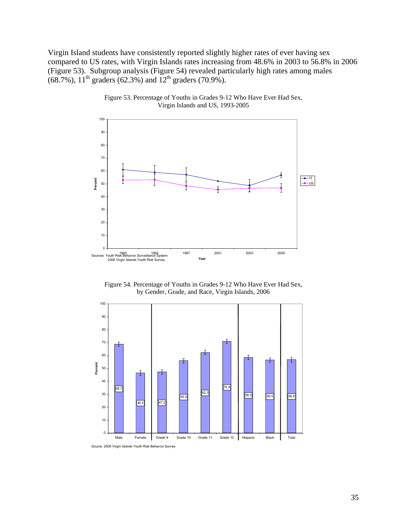Virgin Island students have consistently reported slightly higher rates of ever having sex compared to US rates, with Virgin Islands rates increasing from 48.6% in 2003 to 56.8% in 2006 (Figure 53). Subgroup analysis (Figure 54) revealed particularly high rates among males (68.7%),  $11^{th}$  graders (62.3%) and  $12^{th}$  graders (70.9%).



Figure 53. Percentage of Youths in Grades 9-12 Who Have Ever Had Sex, Virgin Islands and US, 1993-2005





Source: 2006 Virgin Islands Youth Risk Behavior Survey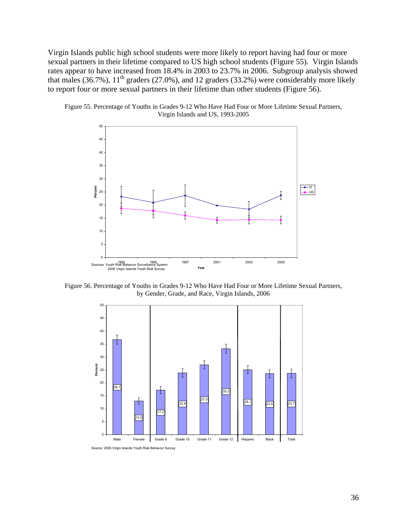Virgin Islands public high school students were more likely to report having had four or more sexual partners in their lifetime compared to US high school students (Figure 55). Virgin Islands rates appear to have increased from 18.4% in 2003 to 23.7% in 2006. Subgroup analysis showed that males (36.7%),  $11<sup>th</sup>$  graders (27.0%), and 12 graders (33.2%) were considerably more likely to report four or more sexual partners in their lifetime than other students (Figure 56).





Figure 56. Percentage of Youths in Grades 9-12 Who Have Had Four or More Lifetime Sexual Partners, by Gender, Grade, and Race, Virgin Islands, 2006



Source: 2006 Virgin Islands Youth Risk Behavior Survey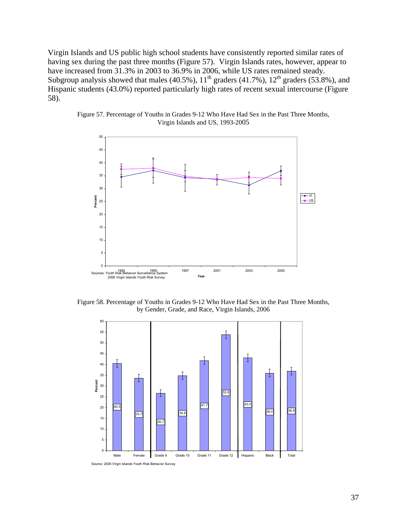Virgin Islands and US public high school students have consistently reported similar rates of having sex during the past three months (Figure 57). Virgin Islands rates, however, appear to have increased from 31.3% in 2003 to 36.9% in 2006, while US rates remained steady. Subgroup analysis showed that males  $(40.5\%)$ ,  $11<sup>th</sup>$  graders  $(41.7\%)$ ,  $12<sup>th</sup>$  graders  $(53.8\%)$ , and Hispanic students (43.0%) reported particularly high rates of recent sexual intercourse (Figure 58).



Figure 57. Percentage of Youths in Grades 9-12 Who Have Had Sex in the Past Three Months, Virgin Islands and US, 1993-2005

Figure 58. Percentage of Youths in Grades 9-12 Who Have Had Sex in the Past Three Months, by Gender, Grade, and Race, Virgin Islands, 2006

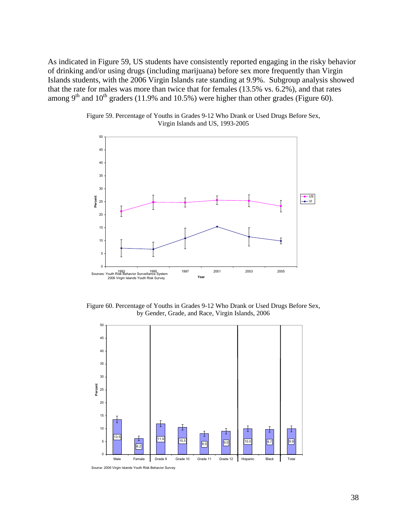As indicated in Figure 59, US students have consistently reported engaging in the risky behav ior of drinking and/or using drugs (including marijuana) before sex more frequently than Virgin Islands students, with the 2006 Virgin Islands rate standing at 9.9%. Subgroup analysis show ed that the rate for males was more than twice that for females (13.5% vs. 6.2%), and that rate s among  $9<sup>th</sup>$  and  $10<sup>th</sup>$  graders (11.9% and 10.5%) were higher than other grades (Figure 60).



Figure 59. Percentage of Youths in Grades 9-12 Who Drank or Used Drugs Before Sex, Virgin Islands and US, 1993-2005

Figure 60. Percentage of Youths in Grades 9-12 Who Drank or Used Drugs Before Sex, by Gender, Grade, and Race, Virgin Islands, 2006



Source: 2006 Virgin Islands Youth Risk Behavior Survey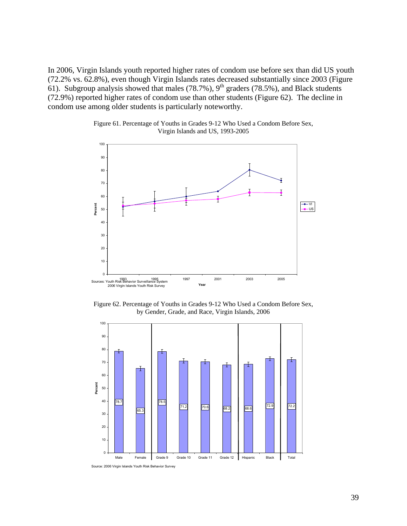(72.2% vs. 62.8%), even though Virgin Islands rates decreased substantially since 2003 (Figure  $(72.9%)$  reported higher rates of condom use than other students (Figure 62). The decline in condom use among older students is particularly noteworthy. In 2006, Virgin Islands youth reported higher rates of condom use before sex than did US youth 61). Subgroup analysis showed that males (78.7%),  $9<sup>th</sup>$  graders (78.5%), and Black students





Figure 62. Percentage of Youths in Grades 9-12 Who Used a Condom Before Sex, by Gender, Grade, and Race, Virgin Islands, 2006 100

1993 1995 1997 2001 2003 2005 Sources: Youth Risk Behavior Surveillance System 2006 Virgin Islands Youth Risk Survey **Year**



Source: 2006 Virgin Islands Youth Risk Behavior Survey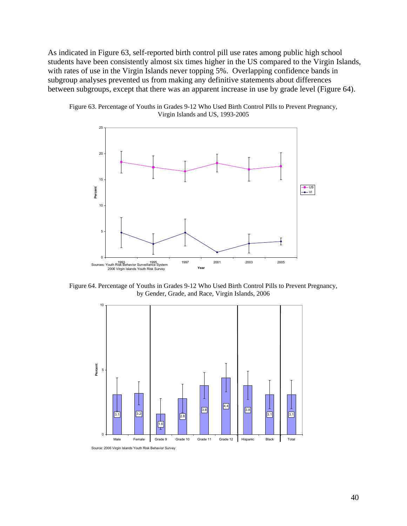As indicated in Figure 63, self-reported birth control pill use rates among public high school students have been consistently almost six times higher in the US compared to the Virgin Islands, with rates of use in the Virgin Islands never topping 5%. Overlapping confidence bands in subgroup analyses prevented us from making any definitive statements about differences between subgroups, except that there was an apparent increase in use by grade level (Figure 64).





Figure 64. Percentage of Youths in Grades 9-12 Who Used Birth Control Pills to Prevent Pregnancy, by Gender, Grade, and Race, Virgin Islands, 2006



Source: 2006 Virgin Islands Youth Risk Behavior Survey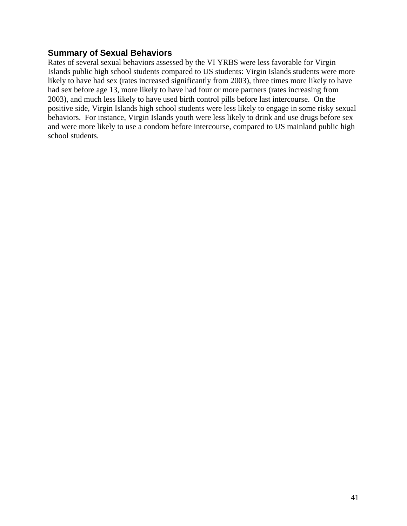#### <span id="page-43-0"></span>**Summary of Sexual Behaviors**

Rates of several sexual behaviors assessed by the VI YRBS were less favorable for Virgin Islands public high school students compared to US students: Virgin Islands students were more likely to have had sex (rates increased significantly from 2003), three times more likely to have had sex before age 13, more likely to have had four or more partners (rates increasing from 2003), and much less likely to have used birth control pills before last intercourse. On the positive side, Virgin Islands high school students were less likely to engage in some risky sexual behaviors. For instance, Virgin Islands youth were less likely to drink and use drugs before sex and were more likely to use a condom before intercourse, compared to US mainland public high school students.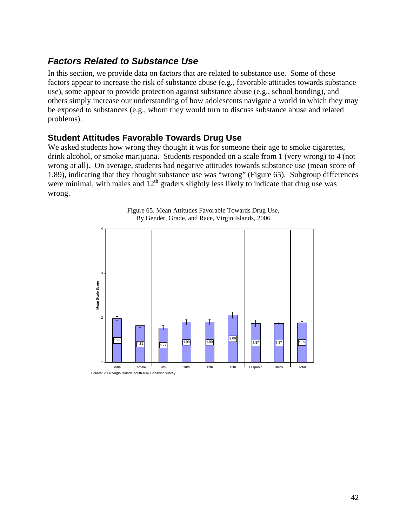## <span id="page-44-0"></span>*Factors Related to Substance Use*

In this section, we provide data on factors that are related to substance use. Some of these factors appear to increase the risk of substance abuse (e.g., favorable attitudes towards substance use), some appear to provide protection against substance abuse (e.g., school bonding), and others simply increase our understanding of how adolescents navigate a world in which they may be exposed to substances (e.g., whom they would turn to discuss substance abuse and related problems).

#### **Student Attitudes Favorable Towards Drug Use**

We asked students how wrong they thought it was for someone their age to smoke cigarettes, drink alcohol, or smoke marijuana. Students responded on a scale from 1 (very wrong) to 4 (not wrong at all). On average, students had negative attitudes towards substance use (mean score of 1.89), indicating that they thought substance use was "wrong" (Figure 65). Subgroup differences were minimal, with males and  $12<sup>th</sup>$  graders slightly less likely to indicate that drug use was wrong.



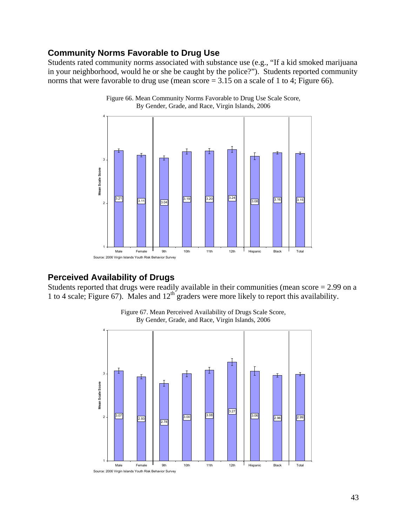#### <span id="page-45-0"></span>**Community Norms Favorable to Drug Use**

Students rated community norms associated with substance use (e.g., "If a kid smoked marijuana in your neighborhood, would he or she be caught by the police?"). Students reported community norms that were favorable to drug use (mean score  $= 3.15$  on a scale of 1 to 4; Figure 66).





#### **Perceived Availability of Drugs**

Students reported that drugs were readily available in their communities (mean score = 2.99 on a 1 to 4 scale; Figure 67). Males and  $12<sup>th</sup>$  graders were more likely to report this availability.



Figure 67. Mean Perceived Availability of Drugs Scale Score, By Gender, Grade, and Race, Virgin Islands, 2006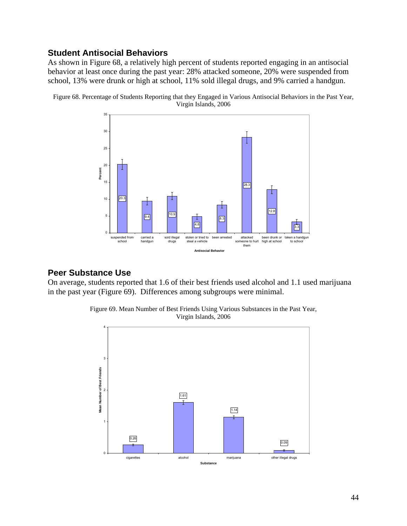#### <span id="page-46-0"></span>**Student Antisocial Behaviors**

As shown in Figure 68, a relatively high percent of students reported engaging in an antisocial behavior at least once during the past year: 28% attacked someone, 20% were suspended from school, 13% were drunk or high at school, 11% sold illegal drugs, and 9% carried a handgun.



Figure 68. Percentage of Students Reporting that they Engaged in Various Antisocial Behaviors in the Past Year, Virgin Islands, 2006

#### **Peer Substance Use**

On average, students reported that 1.6 of their best friends used alcohol and 1.1 used marijuana in the past year (Figure 69). Differences among subgroups were minimal.



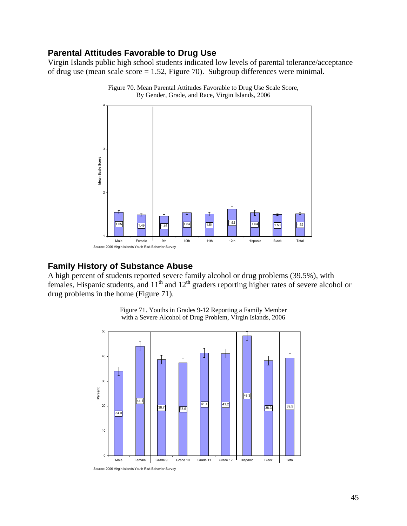#### <span id="page-47-0"></span>**Parental Attitudes Favorable to Drug Use**

Virgin Islands public high school students indicated low levels of parental tolerance/acceptance of drug use (mean scale score = 1.52, Figure 70). Subgroup differences were minimal.



Figure 70. Mean Parental Attitudes Favorable to Drug Use Scale Score, By Gender, Grade, and Race, Virgin Islands, 2006

### **Family History of Substance Abuse**

A high percent of students reported severe family alcohol or drug problems (39.5%), with females, Hispanic students, and  $11<sup>th</sup>$  and  $12<sup>th</sup>$  graders reporting higher rates of severe alcohol or drug problems in the home (Figure 71).



Figure 71. Youths in Grades 9-12 Reporting a Family Member with a Severe Alcohol of Drug Problem, Virgin Islands, 2006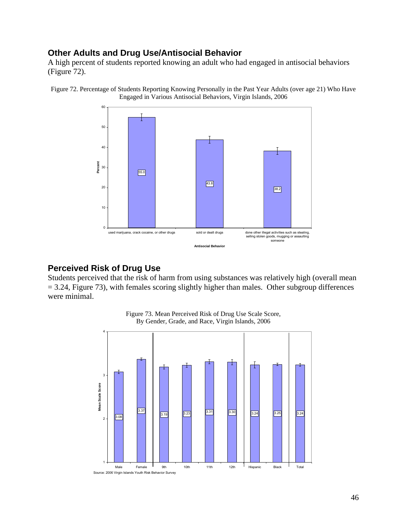#### <span id="page-48-0"></span>**Other Adults and Drug Use/Antisocial Behavior**

A high percent of students reported knowing an adult who had engaged in antisocial behaviors (Figure 72).





#### **Perceived Risk of Drug Use**

Students perceived that the risk of harm from using substances was relatively high (overall mean  $= 3.24$ , Figure 73), with females scoring slightly higher than males. Other subgroup differences were minimal.



Figure 73. Mean Perceived Risk of Drug Use Scale Score, By Gender, Grade, and Race, Virgin Islands, 2006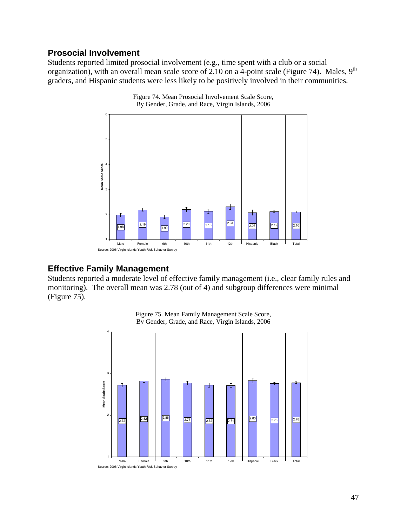#### <span id="page-49-0"></span>**Prosocial Involvement**

Students reported limited prosocial involvement (e.g., time spent with a club or a social organization), with an overall mean scale score of 2.10 on a 4-point scale (Figure 74). Males,  $9<sup>th</sup>$ graders, and Hispanic students were less likely to be positively involved in their communities.



Figure 74. Mean Prosocial Involvement Scale Score, By Gender, Grade, and Race, Virgin Islands, 2006

#### **Effective Family Management**

Students reported a moderate level of effective family management (i.e., clear family rules and monitoring). The overall mean was 2.78 (out of 4) and subgroup differences were minimal (Figure 75).



Figure 75. Mean Family Management Scale Score, By Gender, Grade, and Race, Virgin Islands, 2006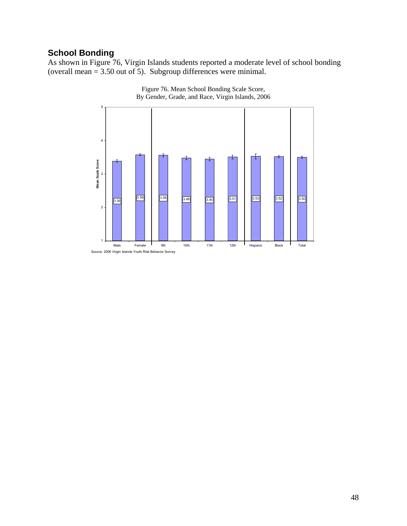## <span id="page-50-0"></span>**School Bonding**

As shown in Figure 76, Virgin Islands students reported a moderate level of school bonding (overall mean = 3.50 out of 5). Subgroup differences were minimal.



Figure 76. Mean School Bonding Scale Score, By Gender, Grade, and Race, Virgin Islands, 2006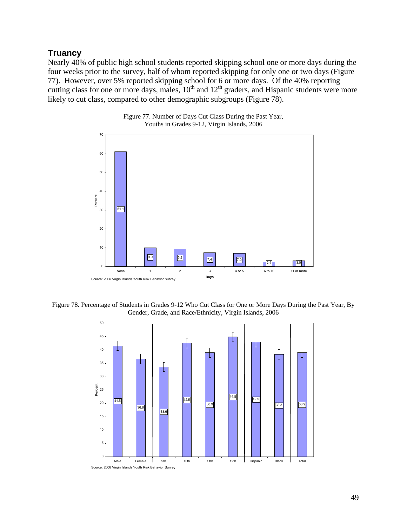#### **Truancy**

Nearly 40% of public high school students reported skipping school one or more days during the four weeks prior to the survey, half of whom reported skipping for only one or two days (Figure 77). However, over 5% reported skipping school for 6 or more days. Of the 40% reporting cutting class for one or more days, males,  $10^{th}$  and  $12^{th}$  graders, and Hispanic students were more likely to cut class, compared to other demographic subgroups (Figure 78).



Figure 77. Number of Days Cut Class During the Past Year, Youths in Grades 9-12, Virgin Islands, 2006

Figure 78. Percentage of Students in Grades 9-12 Who Cut Class for One or More Days During the Past Year, By Gender, Grade, and Race/Ethnicity, Virgin Islands, 2006

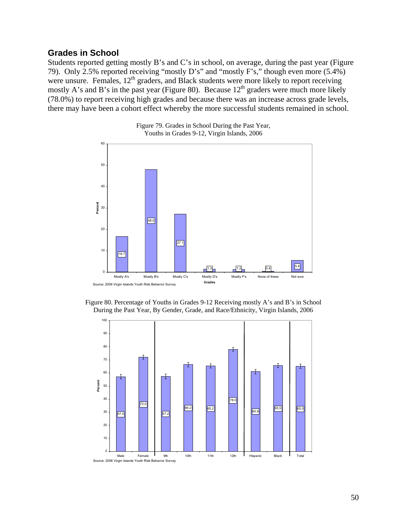#### <span id="page-52-0"></span>**Grades in School**

Students reported getting mostly B's and C's in school, on average, during the past year (Figure 79). Only 2.5% reported receiving "mostly D's" and "mostly F's," though even more (5.4%) were unsure. Females,  $12<sup>th</sup>$  graders, and Black students were more likely to report receiving mostly A's and B's in the past year (Figure 80). Because  $12<sup>th</sup>$  graders were much more likely (78.0%) to report receiving high grades and because there was an increase across grade levels, there may have been a cohort effect whereby the more successful students remained in school.





Figure 80. Percentage of Youths in Grades 9-12 Receiving mostly A's and B's in School During the Past Year, By Gender, Grade, and Race/Ethnicity, Virgin Islands, 2006

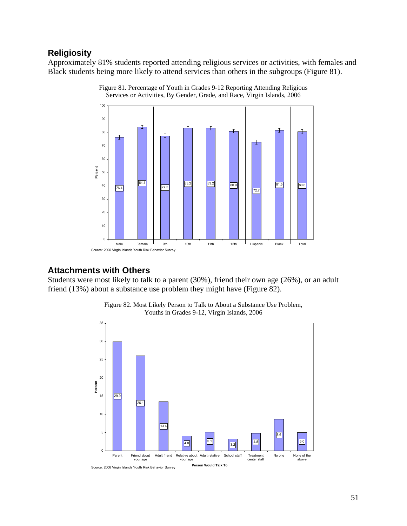### <span id="page-53-0"></span>**Religiosity**

Approximately 81% students reported attending religious services or activities, with females and Black students being more likely to attend services than others in the subgroups (Figure 81).



Figure 81. Percentage of Youth in Grades 9-12 Reporting Attending Religious Services or Activities, By Gender, Grade, and Race, Virgin Islands, 2006

#### **Attachments with Others**

Students were most likely to talk to a parent (30%), friend their own age (26%), or an adult friend (13%) about a substance use problem they might have (Figure 82).



Figure 82. Most Likely Person to Talk to About a Substance Use Problem, Youths in Grades 9-12, Virgin Islands, 2006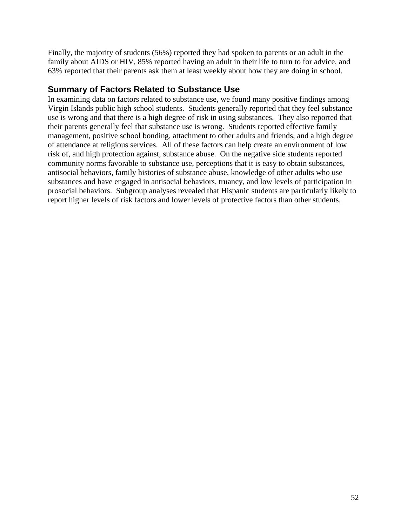<span id="page-54-0"></span>Finally, the majority of students (56%) reported they had spoken to parents or an adult in the family about AIDS or HIV, 85% reported having an adult in their life to turn to for advice, and 63% reported that their parents ask them at least weekly about how they are doing in school.

#### **Summary of Factors Related to Substance Use**

In examining data on factors related to substance use, we found many positive findings among Virgin Islands public high school students. Students generally reported that they feel substance use is wrong and that there is a high degree of risk in using substances. They also reported that their parents generally feel that substance use is wrong. Students reported effective family management, positive school bonding, attachment to other adults and friends, and a high degree of attendance at religious services. All of these factors can help create an environment of low risk of, and high protection against, substance abuse. On the negative side students reported community norms favorable to substance use, perceptions that it is easy to obtain substances, antisocial behaviors, family histories of substance abuse, knowledge of other adults who use substances and have engaged in antisocial behaviors, truancy, and low levels of participation in prosocial behaviors. Subgroup analyses revealed that Hispanic students are particularly likely to report higher levels of risk factors and lower levels of protective factors than other students.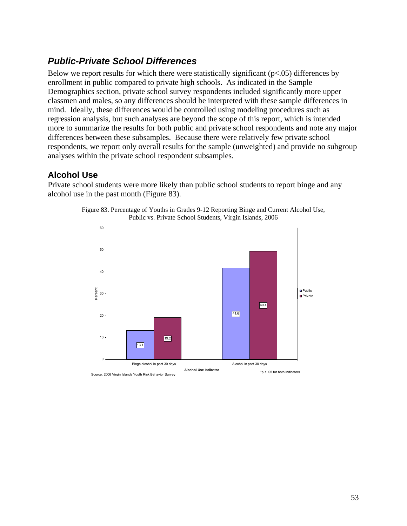## <span id="page-55-0"></span>*Public-Private School Differences*

Below we report results for which there were statistically significant  $(p<.05)$  differences by enrollment in public compared to private high schools. As indicated in the Sample Demographics section, private school survey respondents included significantly more upper classmen and males, so any differences should be interpreted with these sample differences in mind. Ideally, these differences would be controlled using modeling procedures such as regression analysis, but such analyses are beyond the scope of this report, which is intended more to summarize the results for both public and private school respondents and note any major differences between these subsamples. Because there were relatively few private school respondents, we report only overall results for the sample (unweighted) and provide no subgroup analyses within the private school respondent subsamples.

#### **Alcohol Use**

Private school students were more likely than public school students to report binge and any alcohol use in the past month (Figure 83).



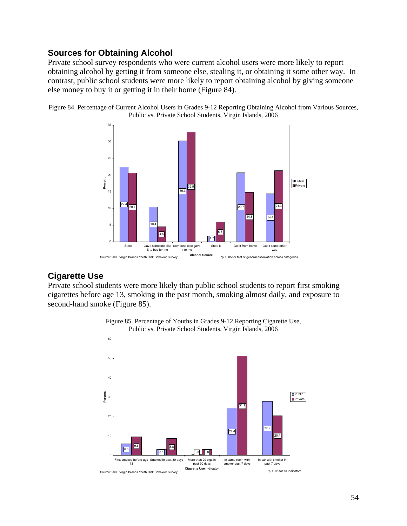### <span id="page-56-0"></span>**Sources for Obtaining Alcohol**

Private school survey respondents who were current alcohol users were more likely to report obtaining alcohol by getting it from someone else, stealing it, or obtaining it some other way. In contrast, public school students were more likely to report obtaining alcohol by giving someone else money to buy it or getting it in their home (Figure 84).





#### **Cigarette Use**

Private school students were more likely than public school students to report first smoking cigarettes before age 13, smoking in the past month, smoking almost daily, and exposure to second-hand smoke (Figure 85).



Figure 85. Percentage of Youths in Grades 9-12 Reporting Cigarette Use, Public vs. Private School Students, Virgin Islands, 2006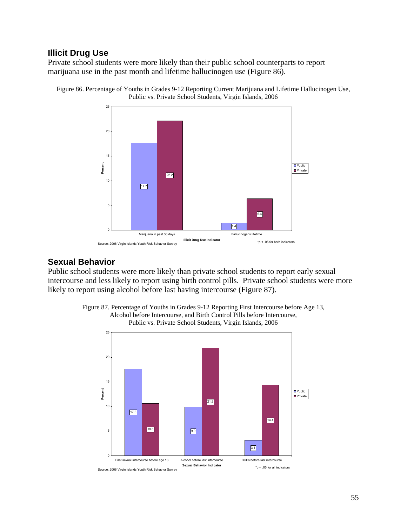#### <span id="page-57-0"></span>**Illicit Drug Use**

Private school students were more likely than their public school counterparts to report marijuana use in the past month and lifetime hallucinogen use (Figure 86).





#### **Sexual Behavior**

Public school students were more likely than private school students to report early sexual intercourse and less likely to report using birth control pills. Private school students were more likely to report using alcohol before last having intercourse (Figure 87).



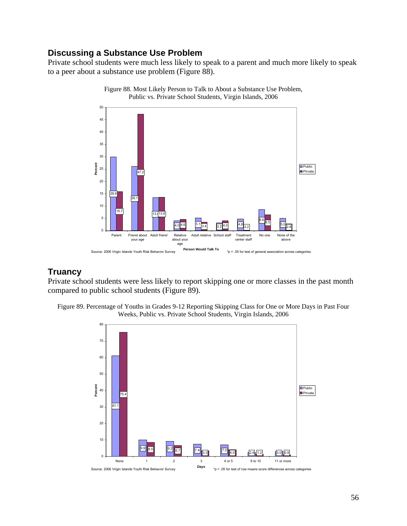#### <span id="page-58-0"></span>**Discussing a Substance Use Problem**

Private school students were much less likely to speak to a parent and much more likely to speak to a peer about a substance use problem (Figure 88).



Figure 88. Most Likely Person to Talk to About a Substance Use Problem, Public vs. Private School Students, Virgin Islands, 2006

### **Truancy**

Private school students were less likely to report skipping one or more classes in the past month compared to public school students (Figure 89).



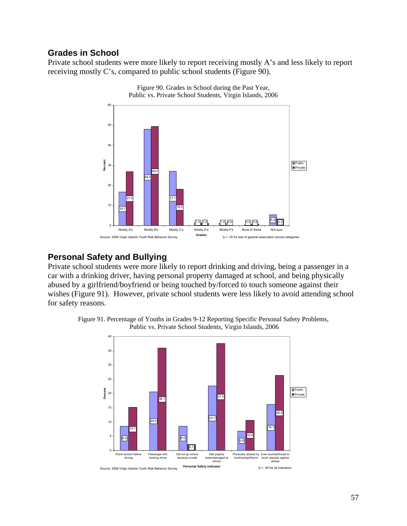#### <span id="page-59-0"></span>**Grades in School**

Private school students were more likely to report receiving mostly A's and less likely to report receiving mostly C's, compared to public school students (Figure 90).



Figure 90. Grades in School during the Past Year, Public vs. Private School Students, Virgin Islands, 2006

#### **Personal Safety and Bullying**

Private school students were more likely to report drinking and driving, being a passenger in a car with a drinking driver, having personal property damaged at school, and being physically abused by a girlfriend/boyfriend or being touched by/forced to touch someone against their wishes (Figure 91). However, private school students were less likely to avoid attending school for safety reasons.



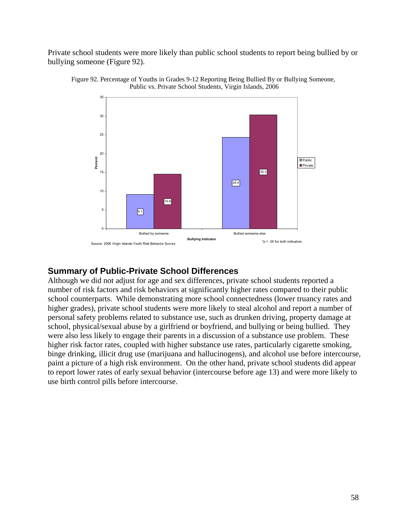<span id="page-60-0"></span>Private school students were more likely than public school students to report being bullied by or bullying someone (Figure 92).





#### **Summary of Public-Private School Differences**

Although we did not adjust for age and sex differences, private school students reported a number of risk factors and risk behaviors at significantly higher rates compared to their public school counterparts. While demonstrating more school connectedness (lower truancy rates and higher grades), private school students were more likely to steal alcohol and report a number of personal safety problems related to substance use, such as drunken driving, property damage at school, physical/sexual abuse by a girlfriend or boyfriend, and bullying or being bullied. They were also less likely to engage their parents in a discussion of a substance use problem. These higher risk factor rates, coupled with higher substance use rates, particularly cigarette smoking, binge drinking, illicit drug use (marijuana and hallucinogens), and alcohol use before intercourse, paint a picture of a high risk environment. On the other hand, private school students did appear to report lower rates of early sexual behavior (intercourse before age 13) and were more likely to use birth control pills before intercourse.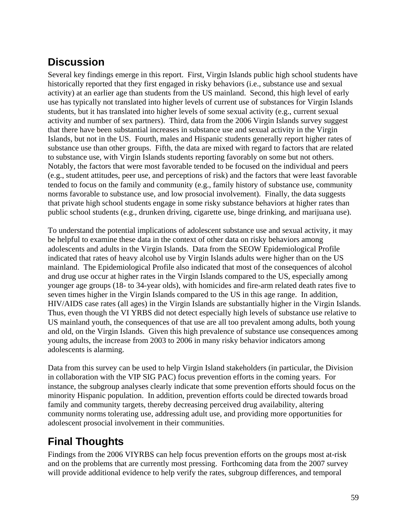## <span id="page-61-0"></span>**Discussion**

Several key findings emerge in this report. First, Virgin Islands public high school students have historically reported that they first engaged in risky behaviors (i.e., substance use and sexual activity) at an earlier age than students from the US mainland. Second, this high level of early use has typically not translated into higher levels of current use of substances for Virgin Islands students, but it has translated into higher levels of some sexual activity (e.g., current sexual activity and number of sex partners). Third, data from the 2006 Virgin Islands survey suggest that there have been substantial increases in substance use and sexual activity in the Virgin Islands, but not in the US. Fourth, males and Hispanic students generally report higher rates of substance use than other groups. Fifth, the data are mixed with regard to factors that are related to substance use, with Virgin Islands students reporting favorably on some but not others. Notably, the factors that were most favorable tended to be focused on the individual and peers (e.g., student attitudes, peer use, and perceptions of risk) and the factors that were least favorable tended to focus on the family and community (e.g., family history of substance use, community norms favorable to substance use, and low prosocial involvement). Finally, the data suggests that private high school students engage in some risky substance behaviors at higher rates than public school students (e.g., drunken driving, cigarette use, binge drinking, and marijuana use).

To understand the potential implications of adolescent substance use and sexual activity, it may be helpful to examine these data in the context of other data on risky behaviors among adolescents and adults in the Virgin Islands. Data from the SEOW Epidemiological Profile indicated that rates of heavy alcohol use by Virgin Islands adults were higher than on the US mainland. The Epidemiological Profile also indicated that most of the consequences of alcohol and drug use occur at higher rates in the Virgin Islands compared to the US, especially among younger age groups (18- to 34-year olds), with homicides and fire-arm related death rates five to seven times higher in the Virgin Islands compared to the US in this age range. In addition, HIV/AIDS case rates (all ages) in the Virgin Islands are substantially higher in the Virgin Islands. Thus, even though the VI YRBS did not detect especially high levels of substance use relative to US mainland youth, the consequences of that use are all too prevalent among adults, both young and old, on the Virgin Islands. Given this high prevalence of substance use consequences among young adults, the increase from 2003 to 2006 in many risky behavior indicators among adolescents is alarming.

Data from this survey can be used to help Virgin Island stakeholders (in particular, the Division in collaboration with the VIP SIG PAC) focus prevention efforts in the coming years. For instance, the subgroup analyses clearly indicate that some prevention efforts should focus on the minority Hispanic population. In addition, prevention efforts could be directed towards broad family and community targets, thereby decreasing perceived drug availability, altering community norms tolerating use, addressing adult use, and providing more opportunities for adolescent prosocial involvement in their communities.

# **Final Thoughts**

Findings from the 2006 VIYRBS can help focus prevention efforts on the groups most at-risk and on the problems that are currently most pressing. Forthcoming data from the 2007 survey will provide additional evidence to help verify the rates, subgroup differences, and temporal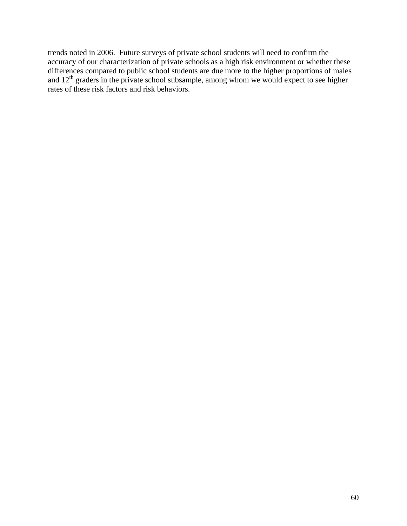trends noted in 2006. Future surveys of private school students will need to confirm the accuracy of our characterization of private schools as a high risk environment or whether these differences compared to public school students are due more to the higher proportions of males and  $12<sup>th</sup>$  graders in the private school subsample, among whom we would expect to see higher rates of these risk factors and risk behaviors.